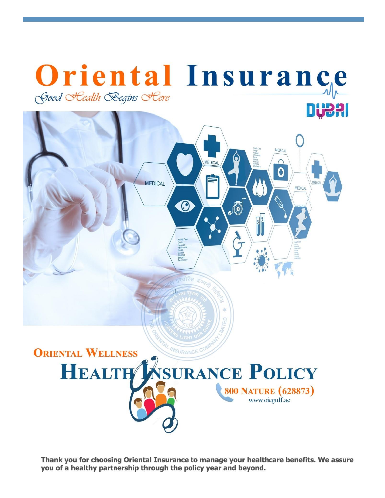

Thank you for choosing Oriental Insurance to manage your healthcare benefits. We assure you of a healthy partnership through the policy year and beyond.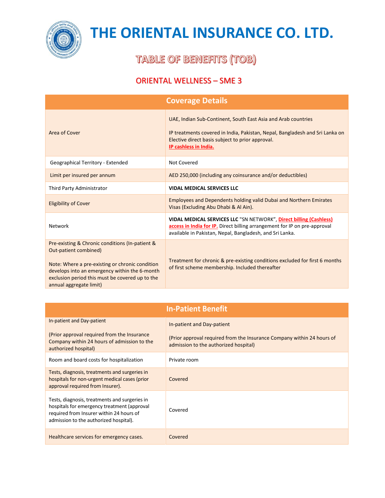

### **TABLE OF BENEFITS (TOB)**

|                                                                                                                                                                                                                                                            | <b>Coverage Details</b>                                                                                                                                                                                                    |  |
|------------------------------------------------------------------------------------------------------------------------------------------------------------------------------------------------------------------------------------------------------------|----------------------------------------------------------------------------------------------------------------------------------------------------------------------------------------------------------------------------|--|
| Area of Cover                                                                                                                                                                                                                                              | UAE, Indian Sub-Continent, South East Asia and Arab countries<br>IP treatments covered in India, Pakistan, Nepal, Bangladesh and Sri Lanka on<br>Elective direct basis subject to prior approval.<br>IP cashless in India. |  |
| Geographical Territory - Extended                                                                                                                                                                                                                          | Not Covered                                                                                                                                                                                                                |  |
| Limit per insured per annum                                                                                                                                                                                                                                | AED 250,000 (including any coinsurance and/or deductibles)                                                                                                                                                                 |  |
| Third Party Administrator                                                                                                                                                                                                                                  | <b>VIDAL MEDICAL SERVICES LLC</b>                                                                                                                                                                                          |  |
| <b>Eligibility of Cover</b>                                                                                                                                                                                                                                | <b>Employees and Dependents holding valid Dubai and Northern Emirates</b><br>Visas (Excluding Abu Dhabi & Al Ain).                                                                                                         |  |
| Network                                                                                                                                                                                                                                                    | VIDAL MEDICAL SERVICES LLC "SN NETWORK", Direct billing (Cashless)<br>access in India for IP. Direct billing arrangement for IP on pre-approval<br>available in Pakistan, Nepal, Bangladesh, and Sri Lanka.                |  |
| Pre-existing & Chronic conditions (In-patient &<br>Out-patient combined)<br>Note: Where a pre-existing or chronic condition<br>develops into an emergency within the 6-month<br>exclusion period this must be covered up to the<br>annual aggregate limit) | Treatment for chronic & pre-existing conditions excluded for first 6 months<br>of first scheme membership. Included thereafter                                                                                             |  |

| <b>In-Patient Benefit</b>                                                                                                                                                          |                                                                                                                 |  |
|------------------------------------------------------------------------------------------------------------------------------------------------------------------------------------|-----------------------------------------------------------------------------------------------------------------|--|
| In-patient and Day-patient                                                                                                                                                         | In-patient and Day-patient                                                                                      |  |
| (Prior approval required from the Insurance<br>Company within 24 hours of admission to the<br>authorized hospital)                                                                 | (Prior approval required from the Insurance Company within 24 hours of<br>admission to the authorized hospital) |  |
| Room and board costs for hospitalization                                                                                                                                           | Private room                                                                                                    |  |
| Tests, diagnosis, treatments and surgeries in<br>hospitals for non-urgent medical cases (prior<br>approval required from Insurer).                                                 | Covered                                                                                                         |  |
| Tests, diagnosis, treatments and surgeries in<br>hospitals for emergency treatment (approval<br>required from Insurer within 24 hours of<br>admission to the authorized hospital). | Covered                                                                                                         |  |
| Healthcare services for emergency cases.                                                                                                                                           | Covered                                                                                                         |  |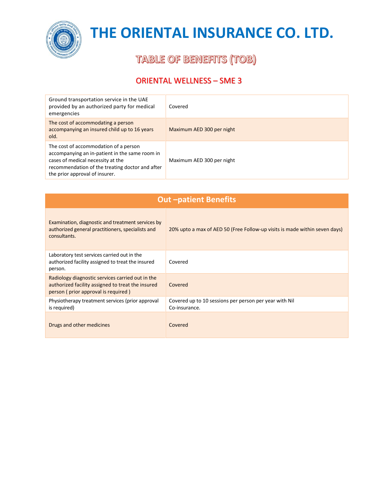

### **TABLE OF BENEFITS (TOB)**

| Ground transportation service in the UAE<br>provided by an authorized party for medical<br>emergencies                                                                                                            | Covered                   |
|-------------------------------------------------------------------------------------------------------------------------------------------------------------------------------------------------------------------|---------------------------|
| The cost of accommodating a person<br>accompanying an insured child up to 16 years<br>old.                                                                                                                        | Maximum AED 300 per night |
| The cost of accommodation of a person<br>accompanying an in-patient in the same room in<br>cases of medical necessity at the<br>recommendation of the treating doctor and after<br>the prior approval of insurer. | Maximum AED 300 per night |

| <b>Out-patient Benefits</b>                                                                                                                  |                                                                            |  |
|----------------------------------------------------------------------------------------------------------------------------------------------|----------------------------------------------------------------------------|--|
| Examination, diagnostic and treatment services by<br>authorized general practitioners, specialists and<br>consultants.                       | 20% upto a max of AED 50 (Free Follow-up visits is made within seven days) |  |
| Laboratory test services carried out in the<br>authorized facility assigned to treat the insured<br>person.                                  | Covered                                                                    |  |
| Radiology diagnostic services carried out in the<br>authorized facility assigned to treat the insured<br>person (prior approval is required) | Covered                                                                    |  |
| Physiotherapy treatment services (prior approval<br>is required)                                                                             | Covered up to 10 sessions per person per year with Nil<br>Co-insurance.    |  |
| Drugs and other medicines                                                                                                                    | Covered                                                                    |  |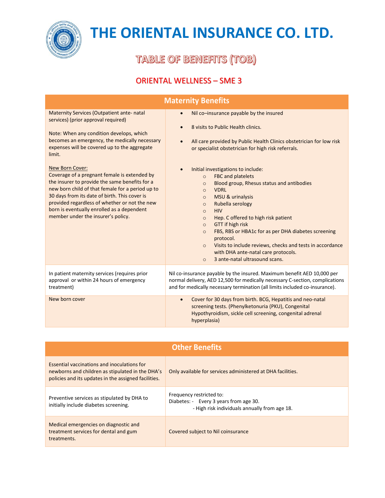

**TABLE OF BENEFITS (TOB)** 

| <b>Maternity Benefits</b>                                                                                                                                                                                                                                                                                                                                                                                                                                                                                                                                                                                      |                                                                                                                                                                                                                                                                                                                                                                                                                                                                                                                                                                                                                                                                                                                                                                                                                                                     |  |
|----------------------------------------------------------------------------------------------------------------------------------------------------------------------------------------------------------------------------------------------------------------------------------------------------------------------------------------------------------------------------------------------------------------------------------------------------------------------------------------------------------------------------------------------------------------------------------------------------------------|-----------------------------------------------------------------------------------------------------------------------------------------------------------------------------------------------------------------------------------------------------------------------------------------------------------------------------------------------------------------------------------------------------------------------------------------------------------------------------------------------------------------------------------------------------------------------------------------------------------------------------------------------------------------------------------------------------------------------------------------------------------------------------------------------------------------------------------------------------|--|
| <b>Maternity Services (Outpatient ante- natal</b><br>services) (prior approval required)<br>Note: When any condition develops, which<br>becomes an emergency, the medically necessary<br>expenses will be covered up to the aggregate<br>limit.<br>New Born Cover:<br>Coverage of a pregnant female is extended by<br>the insurer to provide the same benefits for a<br>new born child of that female for a period up to<br>30 days from its date of birth. This cover is<br>provided regardless of whether or not the new<br>born is eventually enrolled as a dependent<br>member under the insurer's policy. | Nil co-insurance payable by the insured<br>$\bullet$<br>8 visits to Public Health clinics.<br>$\bullet$<br>All care provided by Public Health Clinics obstetrician for low risk<br>$\bullet$<br>or specialist obstetrician for high risk referrals.<br>Initial investigations to include:<br>$\bullet$<br>FBC and platelets<br>$\circ$<br>Blood group, Rhesus status and antibodies<br>$\circ$<br><b>VDRL</b><br>$\circ$<br>MSU & urinalysis<br>$\Omega$<br>Rubella serology<br>$\circ$<br><b>HIV</b><br>$\circ$<br>Hep. C offered to high risk patient<br>$\circ$<br><b>GTT</b> if high risk<br>$\circ$<br>FBS, RBS or HBA1c for as per DHA diabetes screening<br>$\circ$<br>protocol.<br>Visits to include reviews, checks and tests in accordance<br>$\circ$<br>with DHA ante-natal care protocols.<br>3 ante-natal ultrasound scans.<br>$\circ$ |  |
| In patient maternity services (requires prior<br>approval or within 24 hours of emergency<br>treatment)                                                                                                                                                                                                                                                                                                                                                                                                                                                                                                        | Nil co-insurance payable by the insured. Maximum benefit AED 10,000 per<br>normal delivery, AED 12,500 for medically necessary C-section, complications<br>and for medically necessary termination (all limits included co-insurance).                                                                                                                                                                                                                                                                                                                                                                                                                                                                                                                                                                                                              |  |
| New born cover                                                                                                                                                                                                                                                                                                                                                                                                                                                                                                                                                                                                 | Cover for 30 days from birth. BCG, Hepatitis and neo-natal<br>$\bullet$<br>screening tests. (Phenylketonuria (PKU), Congenital<br>Hypothyroidism, sickle cell screening, congenital adrenal<br>hyperplasia)                                                                                                                                                                                                                                                                                                                                                                                                                                                                                                                                                                                                                                         |  |

| <b>Other Benefits</b>                                                                                                                                   |                                                                                                                     |
|---------------------------------------------------------------------------------------------------------------------------------------------------------|---------------------------------------------------------------------------------------------------------------------|
| Essential vaccinations and inoculations for<br>newborns and children as stipulated in the DHA's<br>policies and its updates in the assigned facilities. | Only available for services administered at DHA facilities.                                                         |
| Preventive services as stipulated by DHA to<br>initially include diabetes screening.                                                                    | Frequency restricted to:<br>Diabetes: - Every 3 years from age 30.<br>- High risk individuals annually from age 18. |
| Medical emergencies on diagnostic and<br>treatment services for dental and gum<br>treatments.                                                           | Covered subject to Nil coinsurance                                                                                  |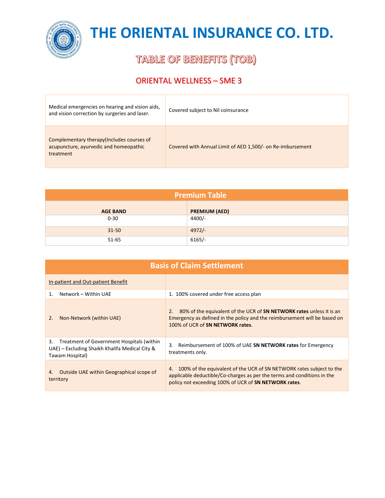

**TABLE OF BENEFITS (TOB)** 

| Medical emergencies on hearing and vision aids,<br>and vision correction by surgeries and laser.  | Covered subject to Nil coinsurance                         |
|---------------------------------------------------------------------------------------------------|------------------------------------------------------------|
| Complementary therapy (Includes courses of<br>acupuncture, ayurvedic and homeopathic<br>treatment | Covered with Annual Limit of AED 1,500/- on Re-imbursement |

| <b>Premium Table</b> |                      |  |
|----------------------|----------------------|--|
| <b>AGE BAND</b>      | <b>PREMIUM (AED)</b> |  |
| $0 - 30$             | $4400/-$             |  |
| $31 - 50$            | $4972/-$             |  |
| $51 - 65$            | $6165/-$             |  |

| <b>Basis of Claim Settlement</b>                                                                                     |                                                                                                                                                                                                                |  |
|----------------------------------------------------------------------------------------------------------------------|----------------------------------------------------------------------------------------------------------------------------------------------------------------------------------------------------------------|--|
| In-patient and Out-patient Benefit                                                                                   |                                                                                                                                                                                                                |  |
| Network – Within UAE<br>1.                                                                                           | 1. 100% covered under free access plan                                                                                                                                                                         |  |
| Non-Network (within UAE)<br>2.                                                                                       | 80% of the equivalent of the UCR of <b>SN NETWORK rates</b> unless it is an<br>2.<br>Emergency as defined in the policy and the reimbursement will be based on<br>100% of UCR of SN NETWORK rates.             |  |
| Treatment of Government Hospitals (within<br>3.<br>UAE) – Excluding Shaikh Khalifa Medical City &<br>Tawam Hospital) | Reimbursement of 100% of UAE SN NETWORK rates for Emergency<br>3.<br>treatments only.                                                                                                                          |  |
| Outside UAE within Geographical scope of<br>4.<br>territory                                                          | 100% of the equivalent of the UCR of SN NETWORK rates subject to the<br>4.<br>applicable deductible/Co-charges as per the terms and conditions in the<br>policy not exceeding 100% of UCR of SN NETWORK rates. |  |